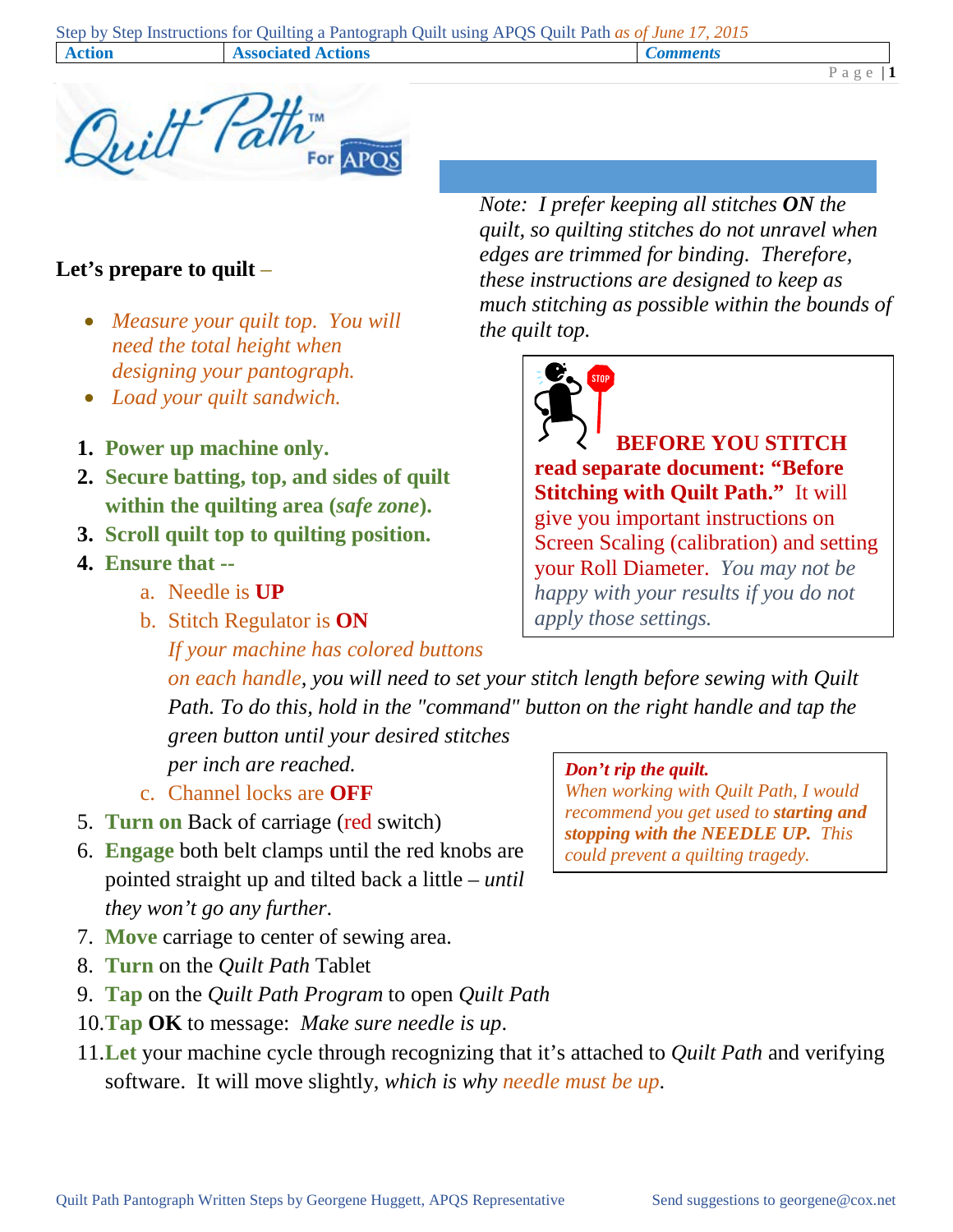| <b>Action</b> | <b>Associated Actions</b> |  | Comments |
|---------------|---------------------------|--|----------|
|               |                           |  |          |

 $P$ age | 1



## **Let's prepare to quilt** *–*

- *Measure your quilt top. You will need the total height when designing your pantograph.*
- *Load your quilt sandwich.*
- **1. Power up machine only.**
- **2. Secure batting, top, and sides of quilt within the quilting area (***safe zone***).**
- **3. Scroll quilt top to quilting position.**
- **4. Ensure that -**
	- a. Needle is **UP**
	- b. Stitch Regulator is **ON**

*Note: I prefer keeping all stitches ON the quilt, so quilting stitches do not unravel when edges are trimmed for binding. Therefore, these instructions are designed to keep as much stitching as possible within the bounds of the quilt top.*



**BEFORE YOU STITCH read separate document: "Before Stitching with Quilt Path."** It will give you important instructions on Screen Scaling (calibration) and setting your Roll Diameter. *You may not be happy with your results if you do not apply those settings.*

*on each handle, you will need to set your stitch length before sewing with Quilt Path. To do this, hold in the "command" button on the right handle and tap the green button until your desired stitches per inch are reached.*

- c. Channel locks are **OFF**
- 5. **Turn on** Back of carriage (red switch)
- 6. **Engage** both belt clamps until the red knobs are pointed straight up and tilted back a little *– until they won't go any further*.

*If your machine has colored buttons* 

- 7. **Move** carriage to center of sewing area.
- 8. **Turn** on the *Quilt Path* Tablet
- 9. **Tap** on the *Quilt Path Program* to open *Quilt Path*
- 10.**Tap OK** to message: *Make sure needle is up*.
- 11.**Let** your machine cycle through recognizing that it's attached to *Quilt Path* and verifying software. It will move slightly, *which is why needle must be up*.

## *Don't rip the quilt.*

*When working with Quilt Path, I would recommend you get used to starting and stopping with the NEEDLE UP. This could prevent a quilting tragedy.*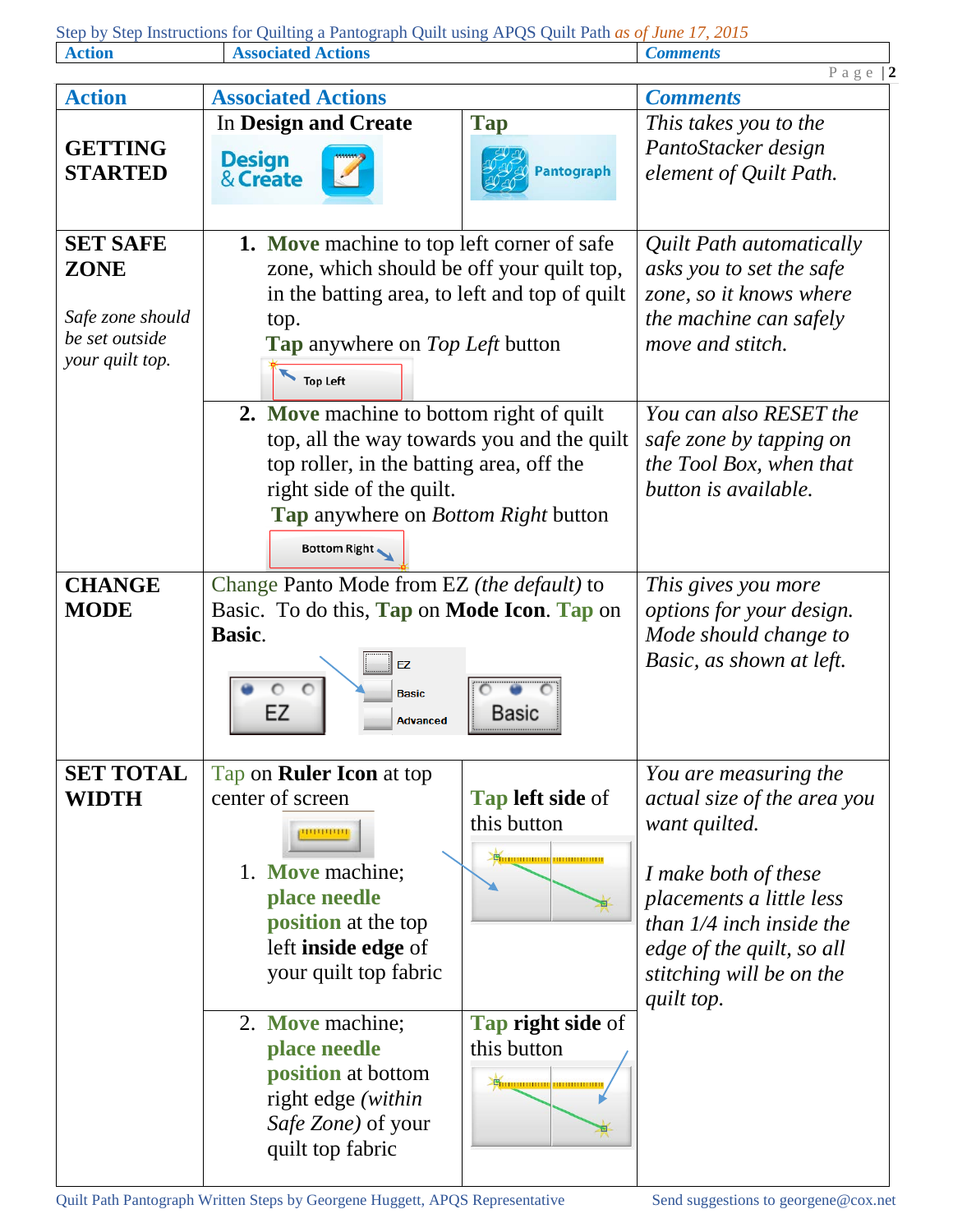| <b>Action</b>                                                                           | <b>Associated Actions</b>                                                                                                                                                                                                                                          |                                                                                                                                          | <b>Comments</b>                                                                                                                                                                                                                |
|-----------------------------------------------------------------------------------------|--------------------------------------------------------------------------------------------------------------------------------------------------------------------------------------------------------------------------------------------------------------------|------------------------------------------------------------------------------------------------------------------------------------------|--------------------------------------------------------------------------------------------------------------------------------------------------------------------------------------------------------------------------------|
| <b>Action</b>                                                                           | <b>Associated Actions</b>                                                                                                                                                                                                                                          |                                                                                                                                          | Page $ 2$<br><b>Comments</b>                                                                                                                                                                                                   |
|                                                                                         | In Design and Create                                                                                                                                                                                                                                               | <b>Tap</b>                                                                                                                               | This takes you to the                                                                                                                                                                                                          |
| <b>GETTING</b><br><b>STARTED</b>                                                        | <b>Design<br/>&amp; Create</b>                                                                                                                                                                                                                                     | <b>Pantograph</b>                                                                                                                        | PantoStacker design<br>element of Quilt Path.                                                                                                                                                                                  |
| <b>SET SAFE</b><br><b>ZONE</b><br>Safe zone should<br>be set outside<br>your quilt top. | <b>1.</b> Move machine to top left corner of safe<br>zone, which should be off your quilt top,<br>in the batting area, to left and top of quilt<br>top.<br><b>Tap</b> anywhere on <i>Top Left</i> button<br><b>Top Left</b>                                        |                                                                                                                                          | <i>Quilt Path automatically</i><br>asks you to set the safe<br>zone, so it knows where<br>the machine can safely<br>move and stitch.                                                                                           |
|                                                                                         | 2. Move machine to bottom right of quilt<br>top, all the way towards you and the quilt<br>top roller, in the batting area, off the<br>right side of the quilt.<br>Tap anywhere on <i>Bottom Right</i> button<br>Bottom Right                                       |                                                                                                                                          | You can also RESET the<br>safe zone by tapping on<br>the Tool Box, when that<br>button is available.                                                                                                                           |
| <b>CHANGE</b><br><b>MODE</b>                                                            | Change Panto Mode from EZ (the default) to<br>Basic. To do this, Tap on Mode Icon. Tap on<br>Basic.<br>EZ<br>Basic<br>EZ<br><b>Advanced</b>                                                                                                                        | Basic                                                                                                                                    | This gives you more<br>options for your design.<br>Mode should change to<br>Basic, as shown at left.                                                                                                                           |
| <b>SET TOTAL</b><br><b>WIDTH</b>                                                        | Tap on <b>Ruler Icon</b> at top<br>center of screen<br><b>HIRRIBILI</b><br>1. Move machine;<br>place needle<br>position at the top<br>left inside edge of<br>your quilt top fabric<br>2. Move machine;<br>place needle<br>position at bottom<br>right edge (within | <b>Tap left side of</b><br>this button<br><b>E</b> mmmmm <b>mmmm</b><br><b>Tap right side of</b><br>this button<br><b>Summmmm</b> mmmmmm | You are measuring the<br>actual size of the area you<br>want quilted.<br>I make both of these<br>placements a little less<br>than $1/4$ inch inside the<br>edge of the quilt, so all<br>stitching will be on the<br>quilt top. |
|                                                                                         | Safe Zone) of your<br>quilt top fabric                                                                                                                                                                                                                             |                                                                                                                                          |                                                                                                                                                                                                                                |

Quilt Path Pantograph Written Steps by Georgene Huggett, APQS Representative Send suggestions to georgene@cox.net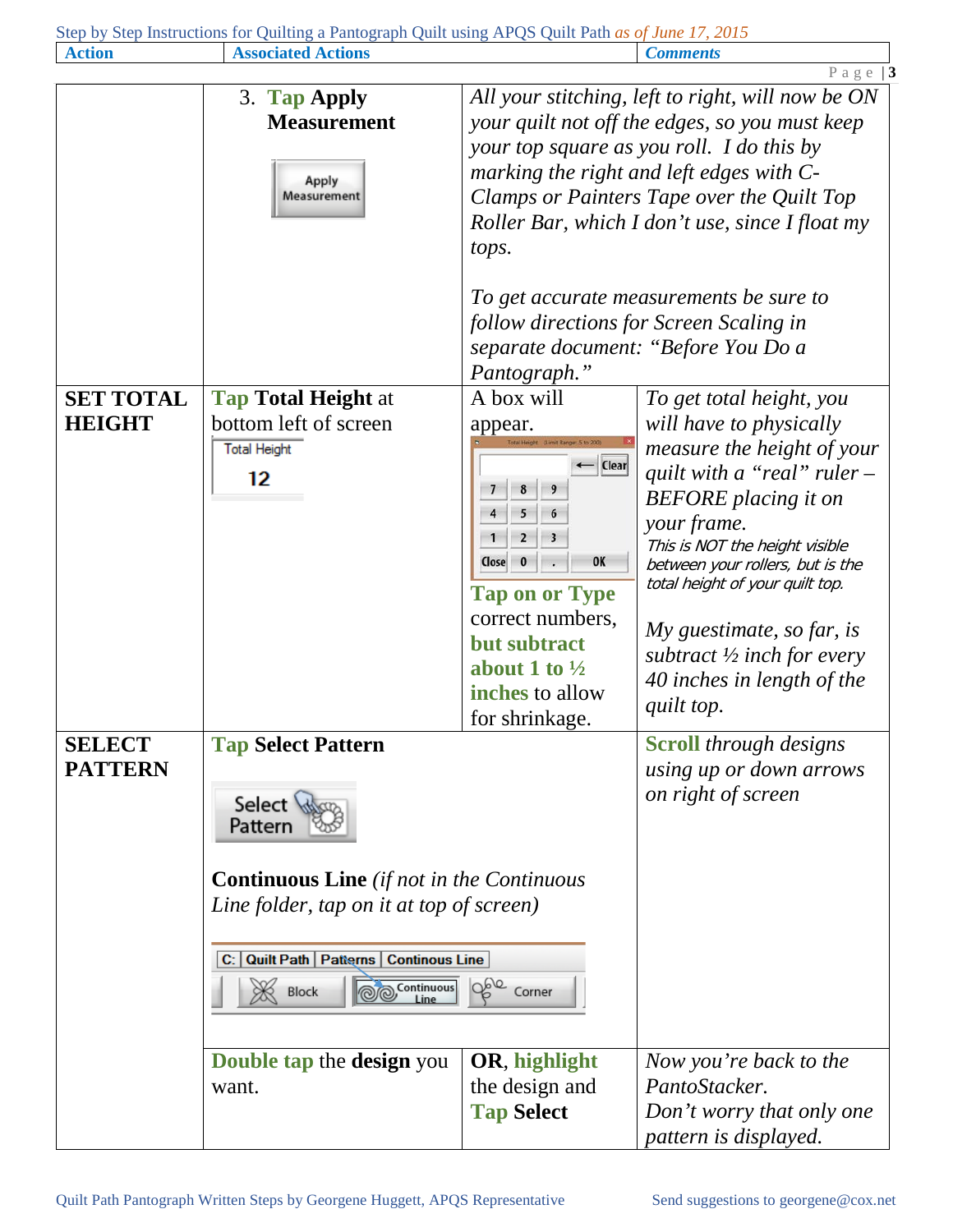| <b>Action</b>                     | <b>Associated Actions</b>                                                                                                                                                                                                                                                |                                                                                                                                                                                                                                                              | <b>Comments</b>                                                                                                                                                                                                                                                                                                                                                                                                            |
|-----------------------------------|--------------------------------------------------------------------------------------------------------------------------------------------------------------------------------------------------------------------------------------------------------------------------|--------------------------------------------------------------------------------------------------------------------------------------------------------------------------------------------------------------------------------------------------------------|----------------------------------------------------------------------------------------------------------------------------------------------------------------------------------------------------------------------------------------------------------------------------------------------------------------------------------------------------------------------------------------------------------------------------|
|                                   |                                                                                                                                                                                                                                                                          |                                                                                                                                                                                                                                                              | Page $ 3$                                                                                                                                                                                                                                                                                                                                                                                                                  |
|                                   | 3. Tap Apply<br><b>Measurement</b><br>Apply<br>Measurement                                                                                                                                                                                                               | tops.<br>Pantograph."                                                                                                                                                                                                                                        | All your stitching, left to right, will now be ON<br>your quilt not off the edges, so you must keep<br>your top square as you roll. I do this by<br>marking the right and left edges with C-<br>Clamps or Painters Tape over the Quilt Top<br>Roller Bar, which I don't use, since I float my<br>To get accurate measurements be sure to<br>follow directions for Screen Scaling in<br>separate document: "Before You Do a |
| <b>SET TOTAL</b><br><b>HEIGHT</b> | <b>Tap Total Height at</b><br>bottom left of screen<br><b>Total Height</b><br>12                                                                                                                                                                                         | A box will<br>appear.<br>stal Height (Limit Range: 5 to 200<br>Clear<br>9<br>6<br>$\mathbf{1}$<br>3<br>0K<br>Close<br>$\bf{0}$<br><b>Tap on or Type</b><br>correct numbers,<br>but subtract<br>about 1 to $\frac{1}{2}$<br>inches to allow<br>for shrinkage. | To get total height, you<br>will have to physically<br>measure the height of your<br>quilt with a "real" ruler –<br><b>BEFORE</b> placing it on<br>your frame.<br>This is NOT the height visible<br>between your rollers, but is the<br>total height of your quilt top.<br>My guestimate, so far, is<br>subtract $\frac{1}{2}$ inch for every<br>40 inches in length of the<br>quilt top.                                  |
| <b>SELECT</b><br><b>PATTERN</b>   | <b>Tap Select Pattern</b><br>Select<br>Pattern<br><b>Continuous Line</b> (if not in the Continuous<br>Line folder, tap on it at top of screen)<br>C: Quilt Path   Patterns   Continous Line<br><b>O</b> Continuous<br>Block<br><b>Double tap the design you</b><br>want. | Ogle Corner<br>OR, highlight<br>the design and<br><b>Tap Select</b>                                                                                                                                                                                          | <b>Scroll</b> through designs<br>using up or down arrows<br>on right of screen<br>Now you're back to the<br>PantoStacker.<br>Don't worry that only one<br>pattern is displayed.                                                                                                                                                                                                                                            |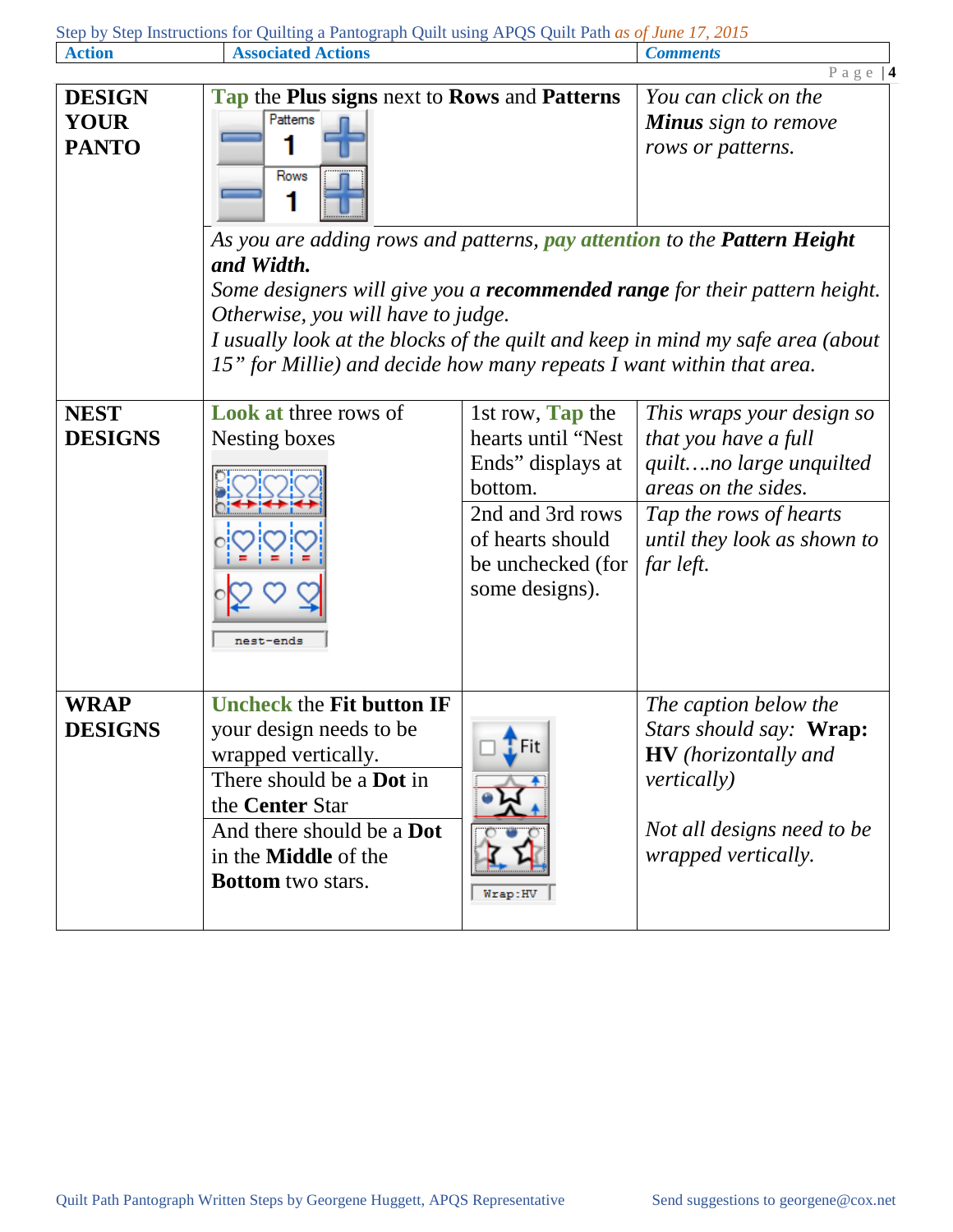| <b>Action</b>                                | Step by Step instructions for Quinting a Famograph Quin using Ar QS Quin Fath as <i>of June 17, 2015</i><br><b>Associated Actions</b>                                                                                                   |                                                                                                                                                       | <b>Comments</b>                                                                                                                                                           |
|----------------------------------------------|-----------------------------------------------------------------------------------------------------------------------------------------------------------------------------------------------------------------------------------------|-------------------------------------------------------------------------------------------------------------------------------------------------------|---------------------------------------------------------------------------------------------------------------------------------------------------------------------------|
|                                              |                                                                                                                                                                                                                                         |                                                                                                                                                       | Page $ 4$                                                                                                                                                                 |
| <b>DESIGN</b><br><b>YOUR</b><br><b>PANTO</b> | Pattems<br>Rows                                                                                                                                                                                                                         | Tap the Plus signs next to Rows and Patterns                                                                                                          |                                                                                                                                                                           |
|                                              | As you are adding rows and patterns, pay attention to the Pattern Height<br>and Width.<br>Otherwise, you will have to judge.<br>15" for Millie) and decide how many repeats I want within that area.                                    |                                                                                                                                                       | Some designers will give you a <b>recommended range</b> for their pattern height.<br>I usually look at the blocks of the quilt and keep in mind my safe area (about       |
| <b>NEST</b><br><b>DESIGNS</b>                | <b>Look at three rows of</b><br>Nesting boxes<br>nest-ends                                                                                                                                                                              | 1st row, Tap the<br>hearts until "Nest<br>Ends" displays at<br>bottom.<br>2nd and 3rd rows<br>of hearts should<br>be unchecked (for<br>some designs). | This wraps your design so<br>that you have a full<br>quiltno large unquilted<br>areas on the sides.<br>Tap the rows of hearts<br>until they look as shown to<br>far left. |
| <b>WRAP</b><br><b>DESIGNS</b>                | <b>Uncheck the Fit button IF</b><br>your design needs to be<br>wrapped vertically.<br>There should be a <b>Dot</b> in<br>the Center Star<br>And there should be a <b>Dot</b><br>in the <b>Middle</b> of the<br><b>Bottom</b> two stars. | $F$ Fit<br>Wrap: HV                                                                                                                                   | The caption below the<br>Stars should say: Wrap:<br><b>HV</b> (horizontally and<br>vertically)<br>Not all designs need to be<br>wrapped vertically.                       |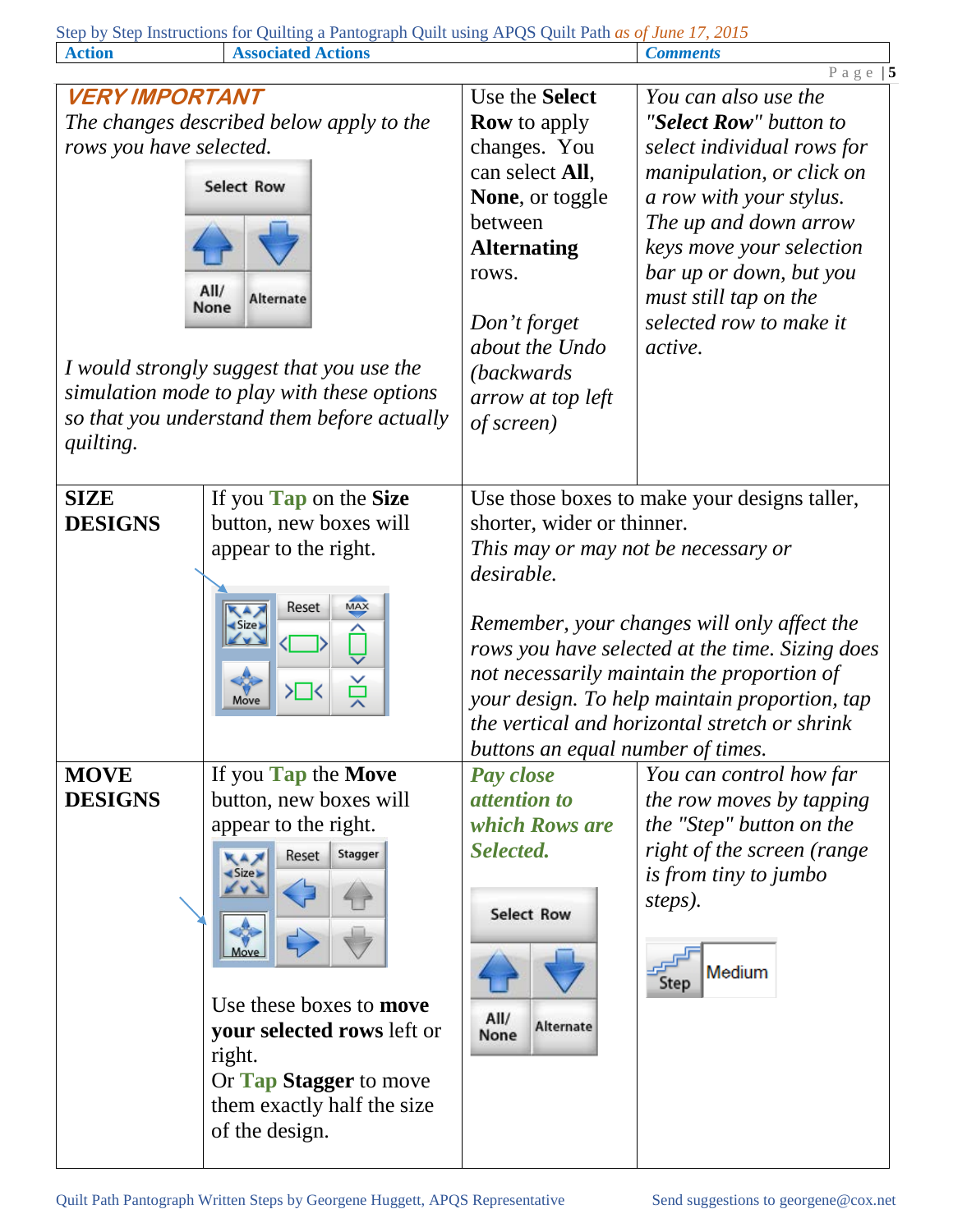|                                                               | Step by Step Instructions for Quilting a Pantograph Quilt using APQS Quilt Path as of June 17, 2015                                                                                                                                                           |                                                                                                                                                                                                                                  |                                                                                                                                                                                                                                                                                                  |
|---------------------------------------------------------------|---------------------------------------------------------------------------------------------------------------------------------------------------------------------------------------------------------------------------------------------------------------|----------------------------------------------------------------------------------------------------------------------------------------------------------------------------------------------------------------------------------|--------------------------------------------------------------------------------------------------------------------------------------------------------------------------------------------------------------------------------------------------------------------------------------------------|
| <b>Action</b>                                                 | <b>Associated Actions</b>                                                                                                                                                                                                                                     |                                                                                                                                                                                                                                  | <b>Comments</b>                                                                                                                                                                                                                                                                                  |
| <b>VERY IMPORTANT</b><br>rows you have selected.<br>quilting. | The changes described below apply to the<br><b>Select Row</b><br>All/<br><b>Alternate</b><br>None<br>I would strongly suggest that you use the<br>simulation mode to play with these options<br>so that you understand them before actually                   | Use the Select<br><b>Row</b> to apply<br>changes. You<br>can select All,<br>None, or toggle<br>between<br><b>Alternating</b><br>rows.<br>Don't forget<br>about the Undo<br><i>(backwards)</i><br>arrow at top left<br>of screen) | Page $ 5$<br>You can also use the<br>"Select Row" button to<br>select individual rows for<br>manipulation, or click on<br>a row with your stylus.<br>The up and down arrow<br>keys move your selection<br>bar up or down, but you<br>must still tap on the<br>selected row to make it<br>active. |
| <b>SIZE</b><br><b>DESIGNS</b>                                 | If you <b>Tap</b> on the <b>Size</b><br>button, new boxes will<br>appear to the right.<br><b>MAX</b><br>Reset<br>Ř<br>≻⊟<<br>Move                                                                                                                             | shorter, wider or thinner.<br>This may or may not be necessary or<br>desirable.<br>buttons an equal number of times.                                                                                                             | Use those boxes to make your designs taller,<br>Remember, your changes will only affect the<br>rows you have selected at the time. Sizing does<br>not necessarily maintain the proportion of<br>your design. To help maintain proportion, tap<br>the vertical and horizontal stretch or shrink   |
| <b>MOVE</b><br><b>DESIGNS</b>                                 | If you Tap the Move<br>button, new boxes will<br>appear to the right.<br>Stagger<br>Reset<br><b>Size</b><br>Move<br>Use these boxes to move<br>your selected rows left or<br>right.<br>Or Tap Stagger to move<br>them exactly half the size<br>of the design. | Pay close<br><i>attention to</i><br>which Rows are<br>Selected.<br><b>Select Row</b><br>All/<br><b>Alternate</b><br>None                                                                                                         | You can control how far<br>the row moves by tapping<br>the "Step" button on the<br>right of the screen (range<br>is from tiny to jumbo<br>steps).<br>Medium<br>Ster                                                                                                                              |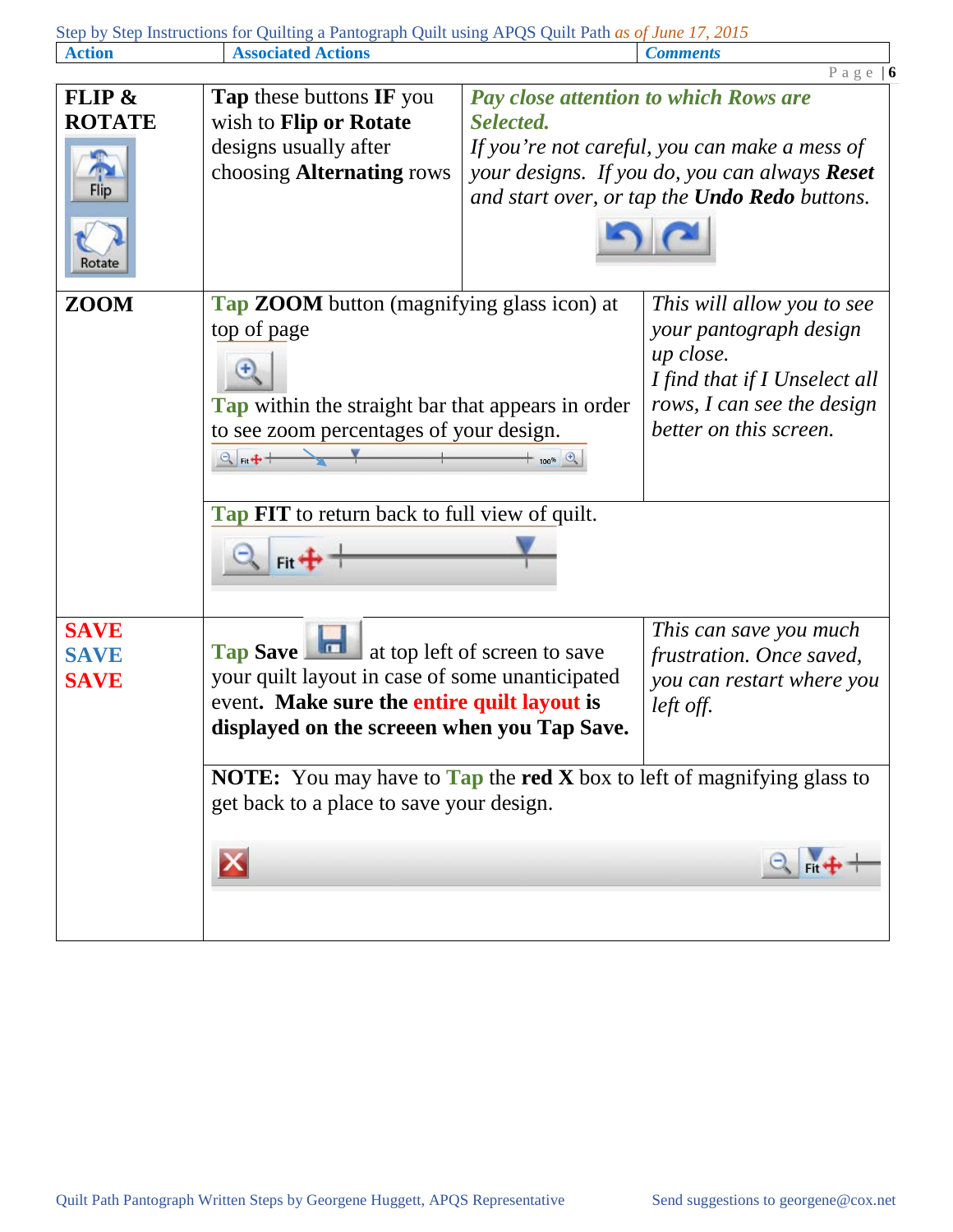|  |  |  |  |  |  |  | Step by Step Instructions for Quilting a Pantograph Quilt using APQS Quilt Path as of June 17, 2015 |  |
|--|--|--|--|--|--|--|-----------------------------------------------------------------------------------------------------|--|
|--|--|--|--|--|--|--|-----------------------------------------------------------------------------------------------------|--|

| <b>Action</b> | $\frac{1}{2}$ by Step msuucuons for Quinting a Famograph Quint using AT QS Quint Fath as $\frac{1}{2}$ fame 17, 2015<br><b>Associated Actions</b> |                                               |                                                      |  |
|---------------|---------------------------------------------------------------------------------------------------------------------------------------------------|-----------------------------------------------|------------------------------------------------------|--|
|               |                                                                                                                                                   |                                               | <b>Comments</b><br>Page $ 6$                         |  |
| FLIP &        | <b>Tap</b> these buttons <b>IF</b> you                                                                                                            |                                               | <b>Pay close attention to which Rows are</b>         |  |
| <b>ROTATE</b> | wish to Flip or Rotate                                                                                                                            | Selected.                                     |                                                      |  |
|               | designs usually after                                                                                                                             |                                               | If you're not careful, you can make a mess of        |  |
|               | choosing <b>Alternating</b> rows                                                                                                                  | your designs. If you do, you can always Reset |                                                      |  |
| Flip          |                                                                                                                                                   |                                               | and start over, or tap the <b>Undo Redo</b> buttons. |  |
| Rotate        |                                                                                                                                                   |                                               |                                                      |  |
| <b>ZOOM</b>   | <b>Tap ZOOM</b> button (magnifying glass icon) at                                                                                                 |                                               | This will allow you to see                           |  |
|               | top of page                                                                                                                                       |                                               | your pantograph design                               |  |
|               |                                                                                                                                                   |                                               | up close.                                            |  |
|               |                                                                                                                                                   |                                               | I find that if I Unselect all                        |  |
|               | <b>Tap</b> within the straight bar that appears in order                                                                                          |                                               | rows, I can see the design                           |  |
|               | to see zoom percentages of your design.                                                                                                           |                                               | better on this screen.                               |  |
|               | $Q_{m++}$                                                                                                                                         | $+$ 100% +                                    |                                                      |  |
|               |                                                                                                                                                   |                                               |                                                      |  |
|               | Tap FIT to return back to full view of quilt.                                                                                                     |                                               |                                                      |  |
|               | Fit <sup>+</sup>                                                                                                                                  |                                               |                                                      |  |
| <b>SAVE</b>   |                                                                                                                                                   |                                               | This can save you much                               |  |
| <b>SAVE</b>   | <b>Tap Save</b><br>$\overline{\mathbf{u}}$                                                                                                        | at top left of screen to save                 | frustration. Once saved,                             |  |
| <b>SAVE</b>   | your quilt layout in case of some unanticipated                                                                                                   |                                               | you can restart where you                            |  |
|               | event. Make sure the entire quilt layout is                                                                                                       |                                               | left off.                                            |  |
|               | displayed on the screeen when you Tap Save.                                                                                                       |                                               |                                                      |  |
|               | <b>NOTE:</b> You may have to <b>Tap</b> the red <b>X</b> box to left of magnifying glass to                                                       |                                               |                                                      |  |
|               | get back to a place to save your design.                                                                                                          |                                               |                                                      |  |
|               |                                                                                                                                                   |                                               |                                                      |  |
|               |                                                                                                                                                   |                                               |                                                      |  |
|               |                                                                                                                                                   |                                               |                                                      |  |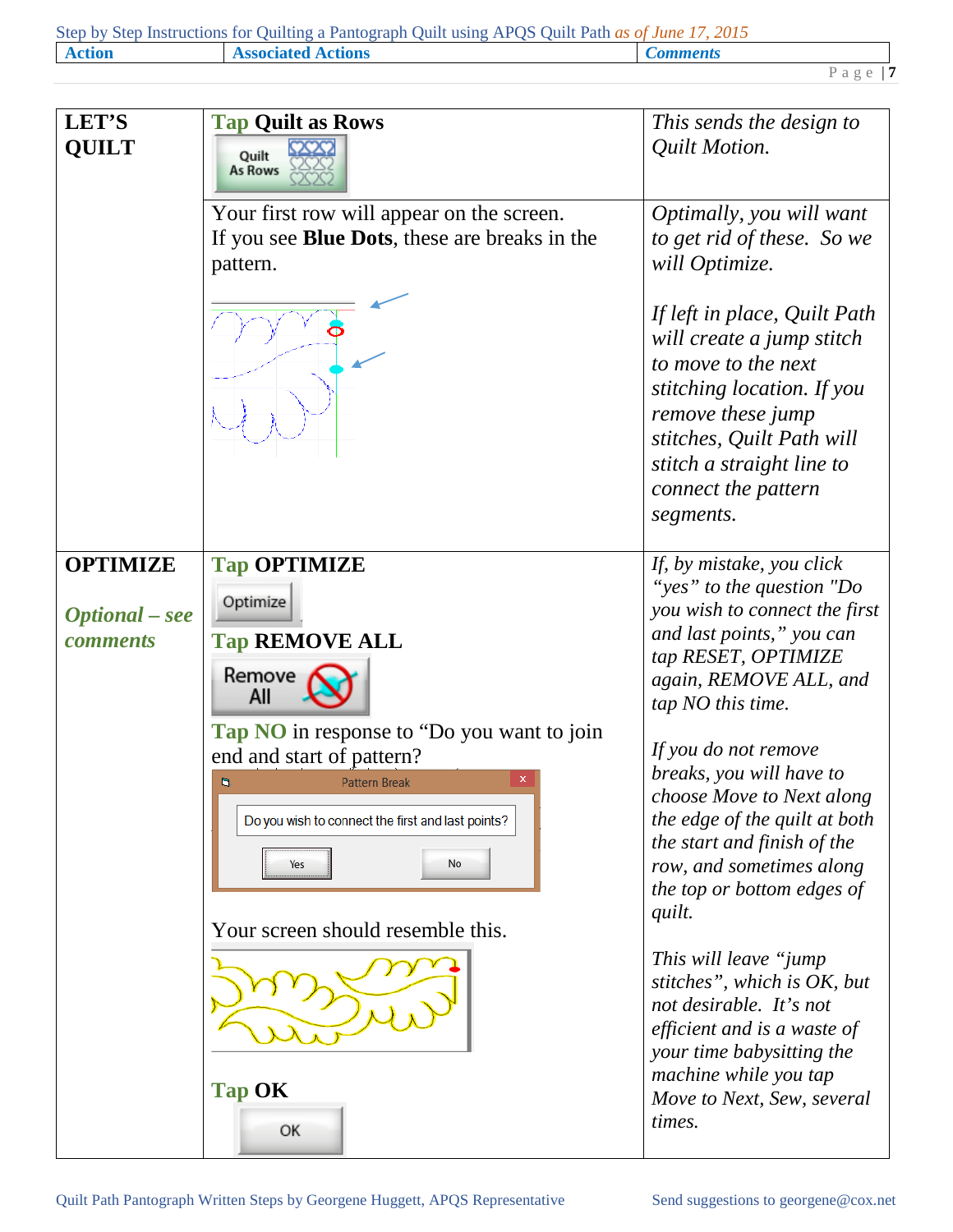|               | Step by Step Instructions for Quilting a Pantograph Quilt using APQS Quilt Path as of June 17, 2015 |                 |
|---------------|-----------------------------------------------------------------------------------------------------|-----------------|
| <b>Action</b> | <b>Associated Actions</b>                                                                           | <b>Comments</b> |

| Action | <b>Actions</b> | ments  |
|--------|----------------|--------|
|        |                | u<br>ے |

| <b>LET'S</b><br><b>QUILT</b>             | <b>Tap Quilt as Rows</b><br>Quilt<br>As Rows          | This sends the design to<br>Quilt Motion.                                                                                                                                                                                         |
|------------------------------------------|-------------------------------------------------------|-----------------------------------------------------------------------------------------------------------------------------------------------------------------------------------------------------------------------------------|
|                                          | Your first row will appear on the screen.             | Optimally, you will want                                                                                                                                                                                                          |
|                                          | If you see <b>Blue Dots</b> , these are breaks in the | to get rid of these. So we                                                                                                                                                                                                        |
|                                          | pattern.                                              | will Optimize.                                                                                                                                                                                                                    |
|                                          |                                                       | If left in place, Quilt Path<br>will create a jump stitch<br>to move to the next<br>stitching location. If you<br>remove these jump<br>stitches, Quilt Path will<br>stitch a straight line to<br>connect the pattern<br>segments. |
| <b>OPTIMIZE</b>                          | <b>Tap OPTIMIZE</b>                                   | If, by mistake, you click                                                                                                                                                                                                         |
| <b>Optional</b> – see<br><b>comments</b> | Optimize<br><b>Tap REMOVE ALL</b><br>Remove<br>All    | "yes" to the question "Do<br>you wish to connect the first<br>and last points," you can<br>tap RESET, OPTIMIZE<br>again, REMOVE ALL, and<br>tap NO this time.                                                                     |
|                                          | Tap NO in response to "Do you want to join            |                                                                                                                                                                                                                                   |
|                                          | end and start of pattern?                             | If you do not remove                                                                                                                                                                                                              |
|                                          | $\Box$<br><b>Pattern Break</b>                        | breaks, you will have to                                                                                                                                                                                                          |
|                                          |                                                       | choose Move to Next along                                                                                                                                                                                                         |
|                                          | Do you wish to connect the first and last points?     | the edge of the quilt at both                                                                                                                                                                                                     |
|                                          | No<br>Yes                                             | the start and finish of the<br>row, and sometimes along                                                                                                                                                                           |
|                                          |                                                       | the top or bottom edges of<br>quilt.                                                                                                                                                                                              |
|                                          | Your screen should resemble this.                     |                                                                                                                                                                                                                                   |
|                                          |                                                       | This will leave "jump"<br>stitches", which is OK, but<br>not desirable. It's not<br>efficient and is a waste of<br>your time babysitting the                                                                                      |
|                                          | <b>Tap OK</b>                                         | machine while you tap<br>Move to Next, Sew, several                                                                                                                                                                               |
|                                          | OK                                                    | times.                                                                                                                                                                                                                            |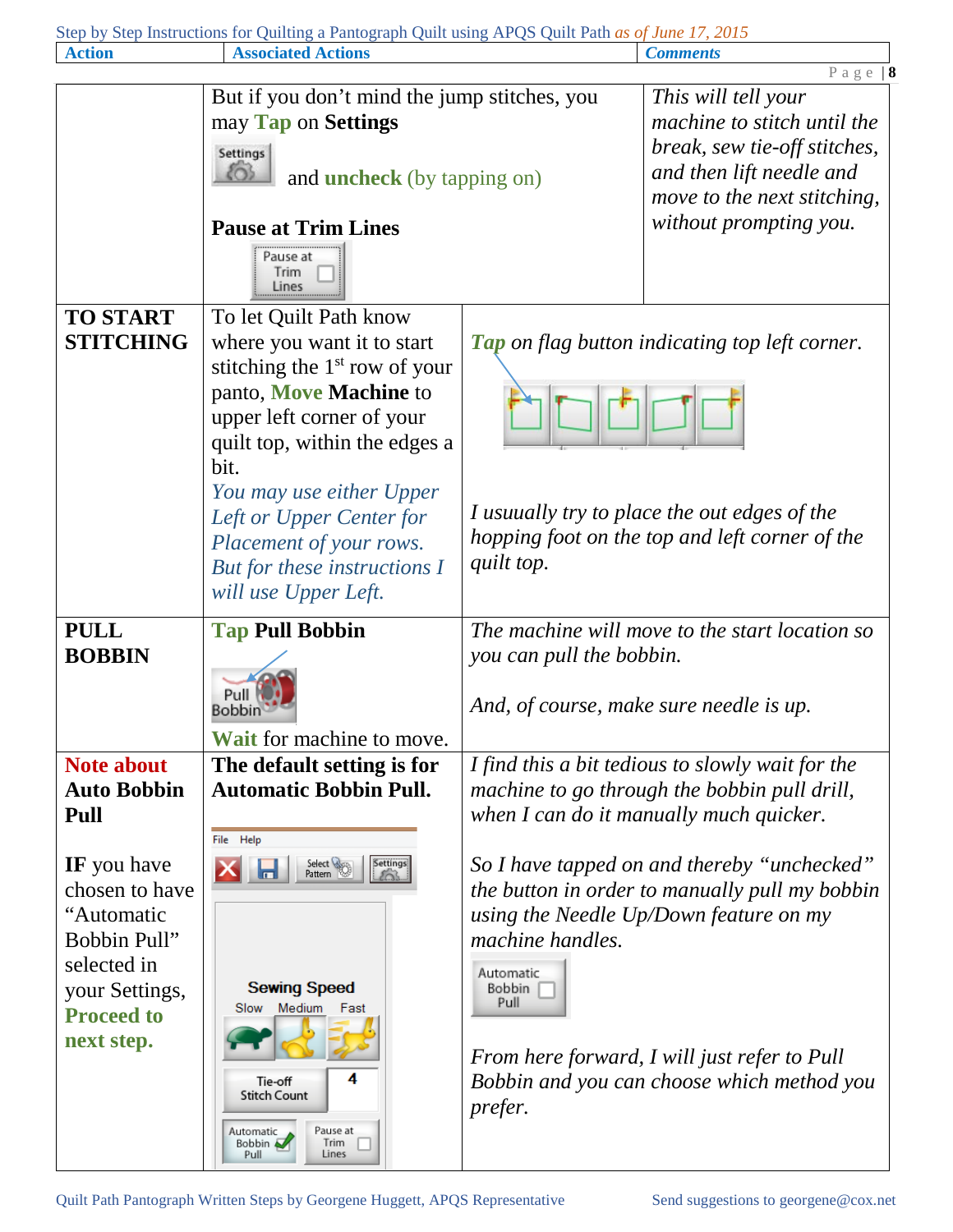| <b>Action</b>                 | <b>Associated Actions</b>                                   |                                                                                               | <b>Comments</b>                                       |
|-------------------------------|-------------------------------------------------------------|-----------------------------------------------------------------------------------------------|-------------------------------------------------------|
|                               |                                                             |                                                                                               | Page $ 8$                                             |
|                               | But if you don't mind the jump stitches, you                |                                                                                               | This will tell your                                   |
|                               | may Tap on Settings                                         |                                                                                               | machine to stitch until the                           |
|                               | Settings                                                    |                                                                                               | break, sew tie-off stitches,                          |
|                               | and <b>uncheck</b> (by tapping on)                          |                                                                                               | and then lift needle and                              |
|                               |                                                             |                                                                                               | move to the next stitching,                           |
|                               | <b>Pause at Trim Lines</b>                                  |                                                                                               | without prompting you.                                |
|                               | Pause at                                                    |                                                                                               |                                                       |
|                               | Trim.<br>Lines                                              |                                                                                               |                                                       |
| <b>TO START</b>               | To let Quilt Path know                                      |                                                                                               |                                                       |
| <b>STITCHING</b>              | where you want it to start                                  |                                                                                               | <b>Tap</b> on flag button indicating top left corner. |
|                               | stitching the $1st$ row of your                             |                                                                                               |                                                       |
|                               | panto, Move Machine to                                      |                                                                                               |                                                       |
|                               | upper left corner of your                                   |                                                                                               |                                                       |
|                               | quilt top, within the edges a                               |                                                                                               |                                                       |
|                               | bit.                                                        |                                                                                               |                                                       |
|                               | You may use either Upper                                    |                                                                                               |                                                       |
|                               | Left or Upper Center for                                    | I usuually try to place the out edges of the                                                  |                                                       |
|                               | Placement of your rows.                                     |                                                                                               | hopping foot on the top and left corner of the        |
|                               | But for these instructions I                                | quilt top.                                                                                    |                                                       |
|                               | will use Upper Left.                                        |                                                                                               |                                                       |
| <b>PULL</b>                   | <b>Tap Pull Bobbin</b>                                      |                                                                                               | The machine will move to the start location so        |
| <b>BOBBIN</b>                 |                                                             | you can pull the bobbin.                                                                      |                                                       |
|                               |                                                             |                                                                                               |                                                       |
|                               |                                                             | And, of course, make sure needle is up.                                                       |                                                       |
|                               |                                                             |                                                                                               |                                                       |
| <b>Note about</b>             | Wait for machine to move.                                   |                                                                                               |                                                       |
| <b>Auto Bobbin</b>            | The default setting is for<br><b>Automatic Bobbin Pull.</b> |                                                                                               | I find this a bit tedious to slowly wait for the      |
| Pull                          |                                                             |                                                                                               | machine to go through the bobbin pull drill,          |
|                               | Help<br>File                                                |                                                                                               | when I can do it manually much quicker.               |
|                               | Settings<br>Select Many                                     |                                                                                               |                                                       |
| IF you have<br>chosen to have | Pattern                                                     | So I have tapped on and thereby "unchecked"<br>the button in order to manually pull my bobbin |                                                       |
| "Automatic                    |                                                             |                                                                                               |                                                       |
| Bobbin Pull"                  |                                                             | machine handles.                                                                              | using the Needle Up/Down feature on my                |
| selected in                   |                                                             |                                                                                               |                                                       |
| your Settings,                | <b>Sewing Speed</b>                                         | Automatic<br>Bobbin                                                                           |                                                       |
| <b>Proceed to</b>             | Slow Medium<br>Fast                                         | Pull                                                                                          |                                                       |
|                               |                                                             |                                                                                               |                                                       |
| next step.                    |                                                             |                                                                                               | From here forward, I will just refer to Pull          |
|                               | 4<br>Tie-off                                                |                                                                                               | Bobbin and you can choose which method you            |
|                               | <b>Stitch Count</b>                                         | <i>prefer.</i>                                                                                |                                                       |
|                               | Pause at<br>Automatic<br>Trim                               |                                                                                               |                                                       |
|                               | Bobbin<br>Lines<br>Pull                                     |                                                                                               |                                                       |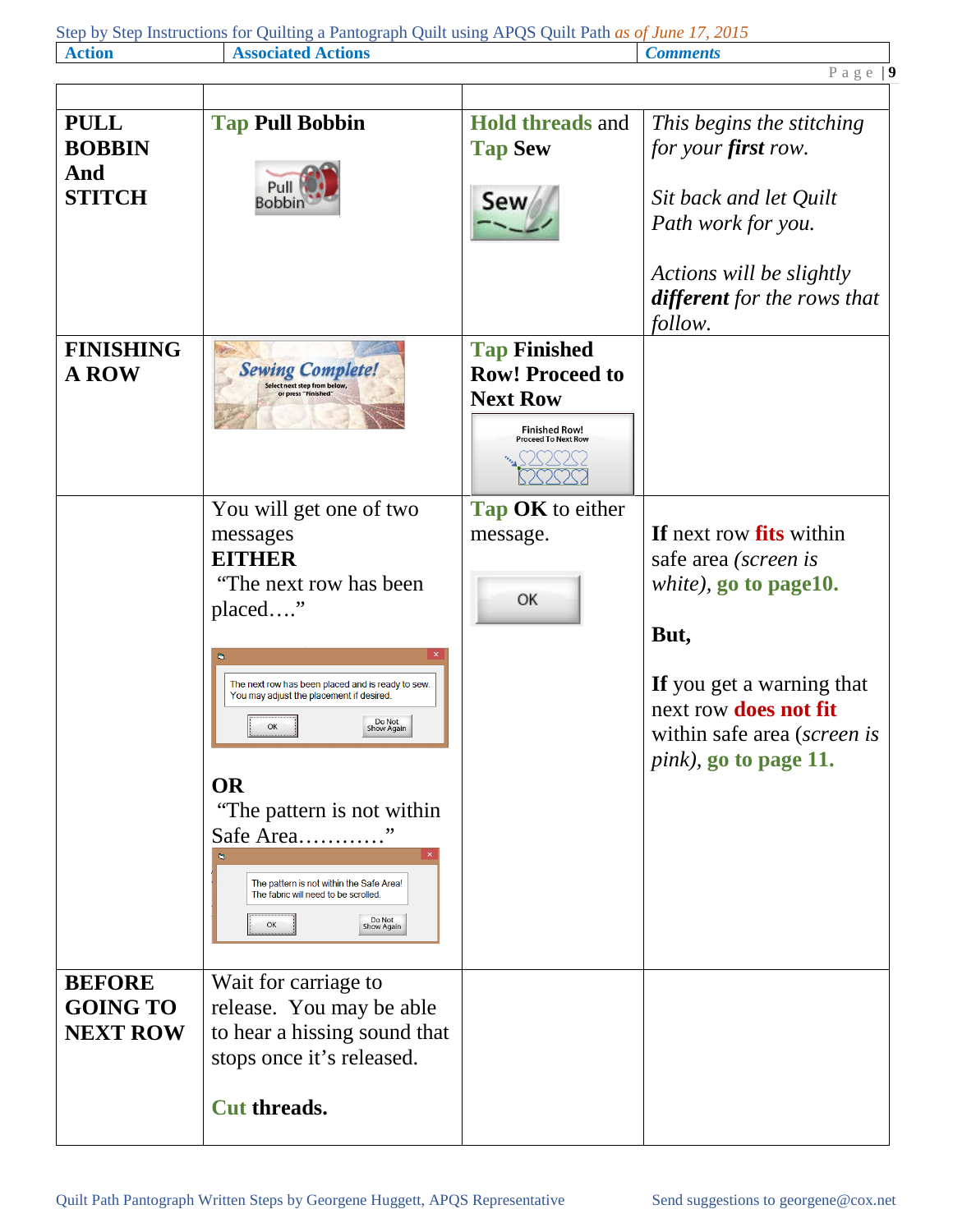| <b>Action</b>                                        | <b>Associated Actions</b>                                                                                                                                                                                                     |                                                                                                                        | <b>Comments</b>                                                                                                                                                       |
|------------------------------------------------------|-------------------------------------------------------------------------------------------------------------------------------------------------------------------------------------------------------------------------------|------------------------------------------------------------------------------------------------------------------------|-----------------------------------------------------------------------------------------------------------------------------------------------------------------------|
|                                                      |                                                                                                                                                                                                                               |                                                                                                                        | Page $ 9$                                                                                                                                                             |
| <b>PULL</b><br><b>BOBBIN</b><br>And<br><b>STITCH</b> | <b>Tap Pull Bobbin</b><br>Bobbin                                                                                                                                                                                              | <b>Hold threads and</b><br><b>Tap Sew</b><br>Sew                                                                       | This begins the stitching<br>for your <b>first</b> row.<br>Sit back and let Quilt<br>Path work for you.                                                               |
| <b>FINISHING</b><br><b>A ROW</b>                     | <b>Sewing Complete!</b><br>elect next step from below,<br>or press "Finished"                                                                                                                                                 | <b>Tap Finished</b><br><b>Row! Proceed to</b><br><b>Next Row</b><br><b>Finished Row!</b><br><b>Proceed To Next Row</b> | Actions will be slightly<br>different for the rows that<br>follow.                                                                                                    |
|                                                      | You will get one of two<br>messages<br><b>EITHER</b><br>"The next row has been<br>placed"<br>自<br>The next row has been placed and is ready to sew.<br>You may adjust the placement if desired.<br>Do Not<br>Show Again<br>OK | <b>Tap OK</b> to either<br>message.<br>OK                                                                              | If next row fits within<br>safe area (screen is<br>white), go to page10.<br>But,<br>If you get a warning that<br>next row does not fit<br>within safe area (screen is |
|                                                      | <b>OR</b><br>"The pattern is not within"<br>Safe Area<br>The pattern is not within the Safe Area!<br>The fabric will need to be scrolled.<br>Do Not<br>Show Again<br>ОК                                                       |                                                                                                                        | <i>pink</i> ), go to page 11.                                                                                                                                         |
| <b>BEFORE</b><br><b>GOING TO</b><br><b>NEXT ROW</b>  | Wait for carriage to<br>release. You may be able<br>to hear a hissing sound that<br>stops once it's released.<br>Cut threads.                                                                                                 |                                                                                                                        |                                                                                                                                                                       |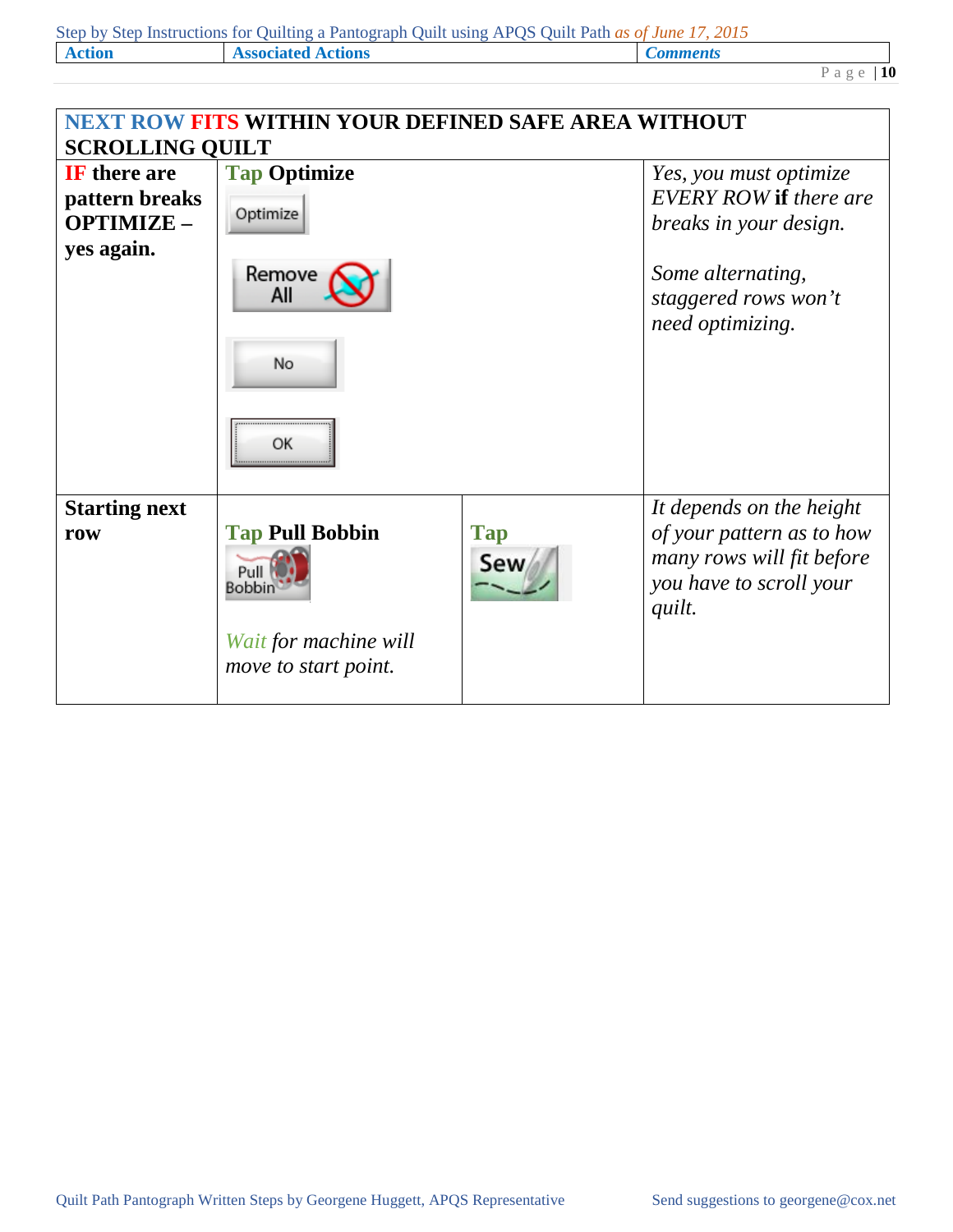| Step by Step Instructions for Quilting a Pantograph Quilt using APQS Quilt Path as of June 17, 2015 |                           |                 |  |
|-----------------------------------------------------------------------------------------------------|---------------------------|-----------------|--|
| <b>Action</b>                                                                                       | <b>Associated Actions</b> | <b>Comments</b> |  |
|                                                                                                     |                           | Page $ 10$      |  |

| <b>NEXT ROW FITS WITHIN YOUR DEFINED SAFE AREA WITHOUT</b> |                                               |                          |                                                                                                                         |
|------------------------------------------------------------|-----------------------------------------------|--------------------------|-------------------------------------------------------------------------------------------------------------------------|
| <b>SCROLLING QUILT</b><br><b>IF</b> there are              | <b>Tap Optimize</b>                           |                          | Yes, you must optimize                                                                                                  |
| pattern breaks<br><b>OPTIMIZE-</b><br>yes again.           | Optimize                                      |                          | <b>EVERY ROW if there are</b><br>breaks in your design.                                                                 |
|                                                            | Remove<br>All                                 |                          | Some alternating,<br>staggered rows won't<br>need optimizing.                                                           |
|                                                            | No                                            |                          |                                                                                                                         |
|                                                            | <br>OK                                        |                          |                                                                                                                         |
| <b>Starting next</b><br>row                                | <b>Tap Pull Bobbin</b><br>Pull<br>Bobbin      | <b>Tap</b><br><b>Sew</b> | It depends on the height<br>of your pattern as to how<br>many rows will fit before<br>you have to scroll your<br>quilt. |
|                                                            | Wait for machine will<br>move to start point. |                          |                                                                                                                         |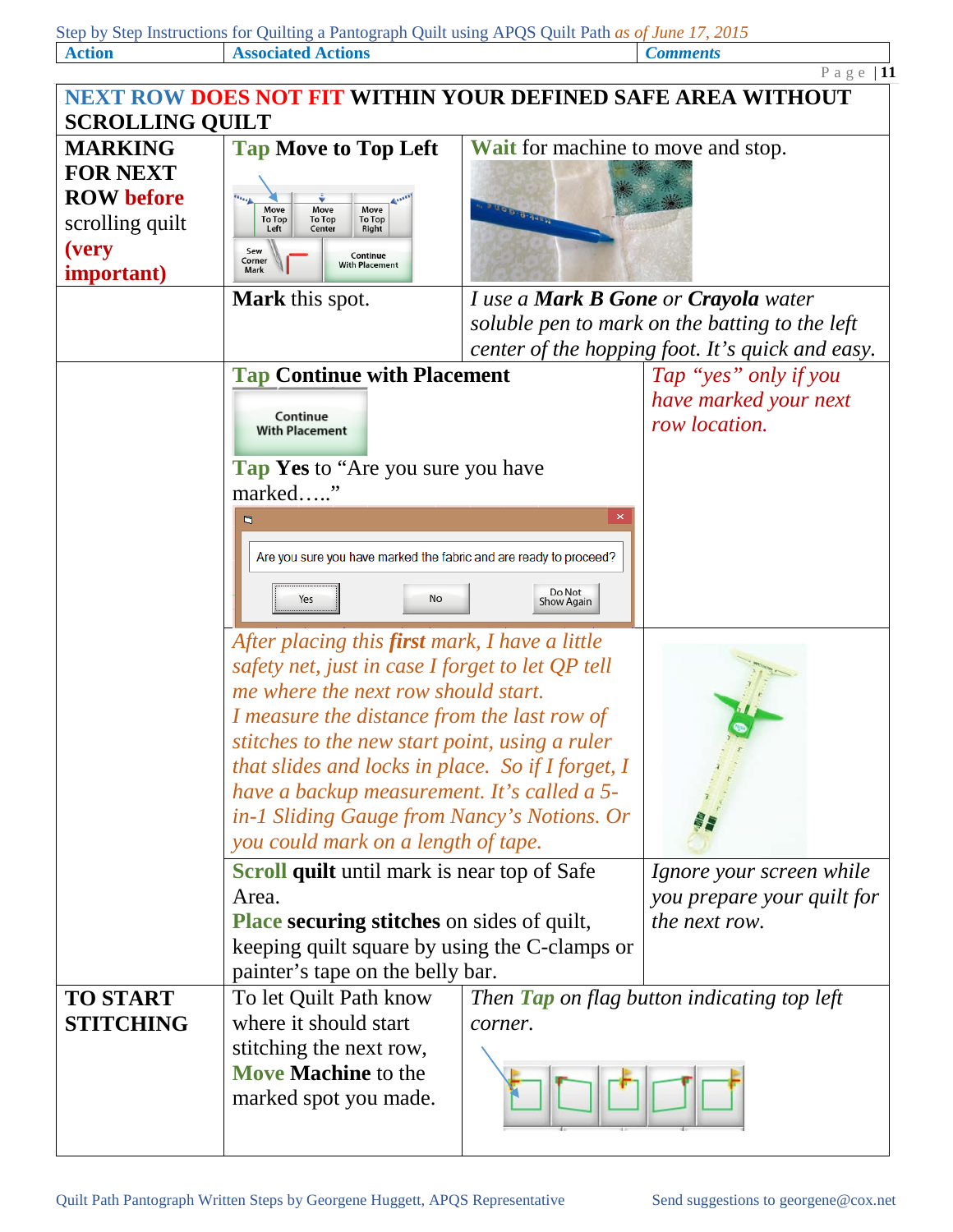|               | Step by Step Instructions for Quilting a Pantograph Quilt using APQS Quilt Path as of June 17, 2015 |                 |
|---------------|-----------------------------------------------------------------------------------------------------|-----------------|
| <b>Action</b> | <b>Associated Actions</b>                                                                           | <b>Comments</b> |

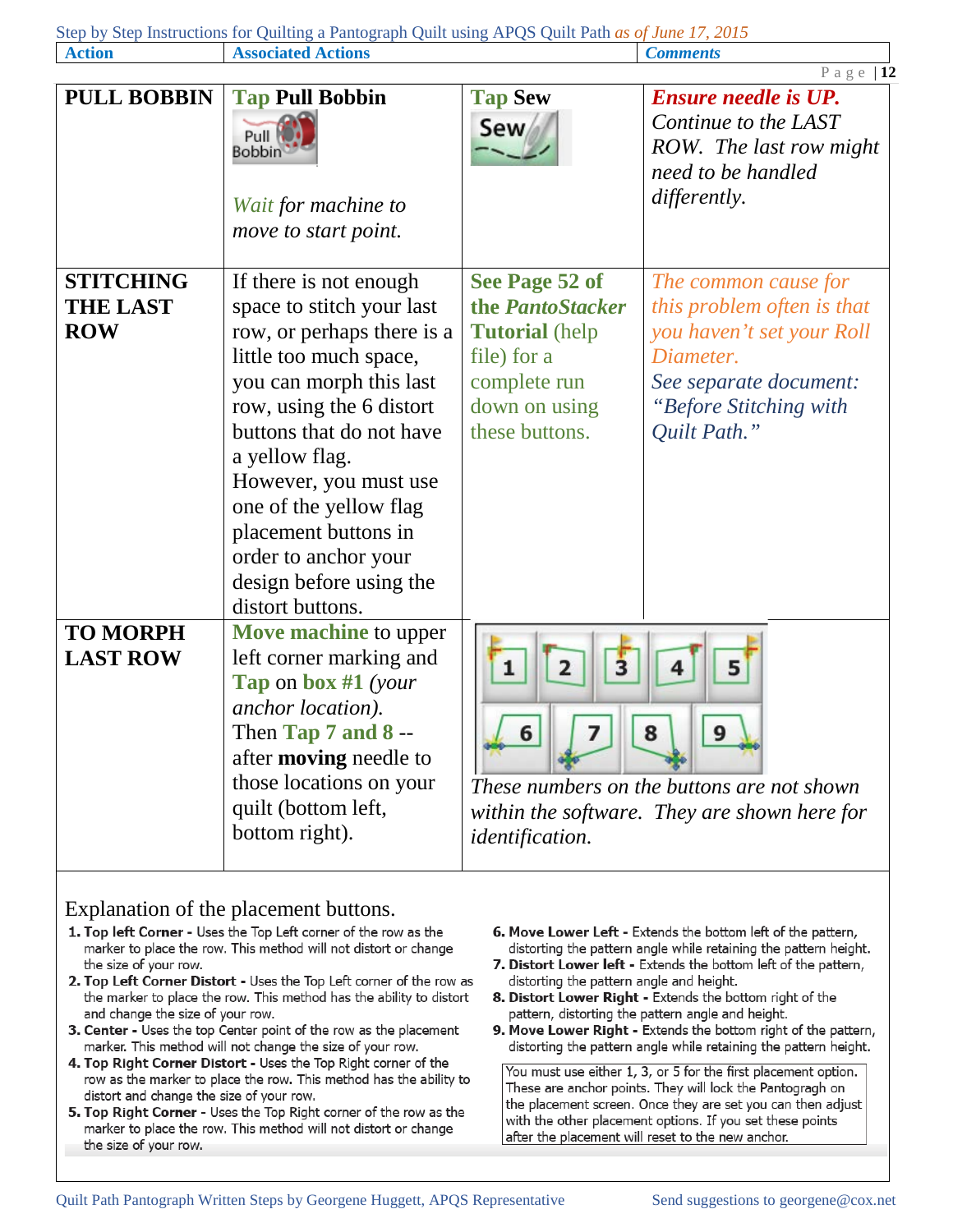| <b>Action</b>                                     | <b>Associated Actions</b>                                                                                                                                                                                                                                                                                                                                          |                                                                                                                               | <b>Comments</b>                                                                                                                                                  |  |
|---------------------------------------------------|--------------------------------------------------------------------------------------------------------------------------------------------------------------------------------------------------------------------------------------------------------------------------------------------------------------------------------------------------------------------|-------------------------------------------------------------------------------------------------------------------------------|------------------------------------------------------------------------------------------------------------------------------------------------------------------|--|
|                                                   | Page $ 12$                                                                                                                                                                                                                                                                                                                                                         |                                                                                                                               |                                                                                                                                                                  |  |
| <b>PULL BOBBIN</b>                                | <b>Tap Pull Bobbin</b><br>Pull  <br>Bobbin<br>Wait for machine to<br>move to start point.                                                                                                                                                                                                                                                                          | <b>Tap Sew</b><br>Sew                                                                                                         | <b>Ensure needle is UP.</b><br>Continue to the LAST<br>ROW. The last row might<br>need to be handled<br>differently.                                             |  |
| <b>STITCHING</b><br><b>THE LAST</b><br><b>ROW</b> | If there is not enough<br>space to stitch your last<br>row, or perhaps there is a<br>little too much space,<br>you can morph this last<br>row, using the 6 distort<br>buttons that do not have<br>a yellow flag.<br>However, you must use<br>one of the yellow flag<br>placement buttons in<br>order to anchor your<br>design before using the<br>distort buttons. | See Page 52 of<br>the PantoStacker<br><b>Tutorial</b> (help<br>file) for a<br>complete run<br>down on using<br>these buttons. | The common cause for<br>this problem often is that<br>you haven't set your Roll<br>Diameter.<br>See separate document:<br>"Before Stitching with<br>Quilt Path." |  |
| <b>TO MORPH</b><br><b>LAST ROW</b>                | Move machine to upper<br>left corner marking and<br><b>Tap on box #1</b> (your<br>anchor location).<br>Then $\bf{Top}$ 7 and $\bf{8}$ --<br>after moving needle to<br>those locations on your<br>quilt (bottom left,<br>bottom right).                                                                                                                             | 6<br><i>identification.</i>                                                                                                   | 5<br>These numbers on the buttons are not shown<br>within the software. They are shown here for                                                                  |  |

## Explanation of the placement buttons.

- 1. Top left Corner Uses the Top Left corner of the row as the marker to place the row. This method will not distort or change the size of your row.
- 2. Top Left Corner Distort Uses the Top Left corner of the row as the marker to place the row. This method has the ability to distort and change the size of your row.
- 3. Center Uses the top Center point of the row as the placement marker. This method will not change the size of your row.
- 4. Top Right Corner Distort Uses the Top Right corner of the row as the marker to place the row. This method has the ability to distort and change the size of your row.
- 5. Top Right Corner Uses the Top Right corner of the row as the marker to place the row. This method will not distort or change the size of your row.
- 6. Move Lower Left Extends the bottom left of the pattern, distorting the pattern angle while retaining the pattern height.
- 7. Distort Lower left Extends the bottom left of the pattern, distorting the pattern angle and height.
- 8. Distort Lower Right Extends the bottom right of the pattern, distorting the pattern angle and height.
- 9. Move Lower Right Extends the bottom right of the pattern, distorting the pattern angle while retaining the pattern height.

You must use either 1, 3, or 5 for the first placement option. These are anchor points. They will lock the Pantogragh on the placement screen. Once they are set you can then adjust with the other placement options. If you set these points after the placement will reset to the new anchor.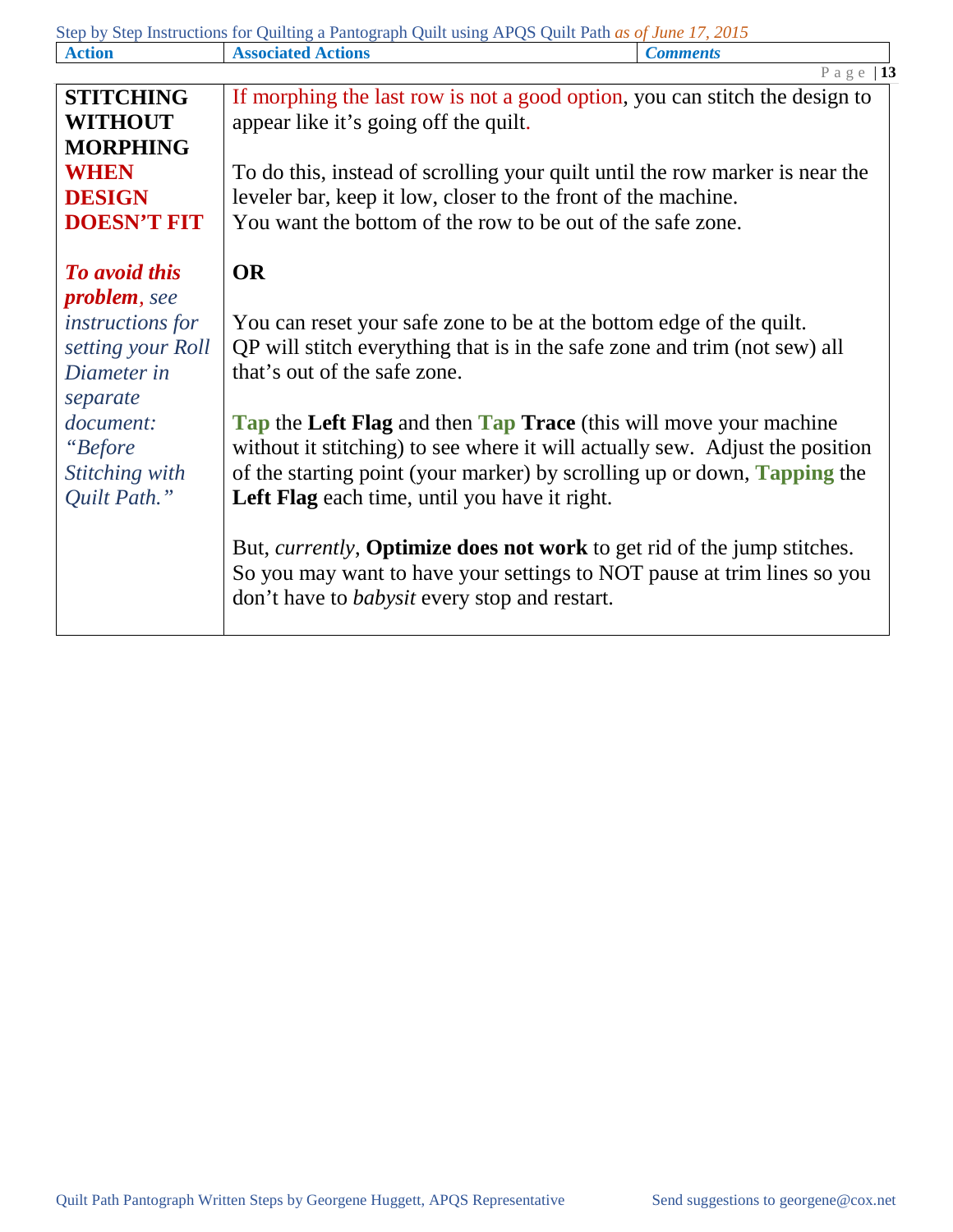Step by Step Instructions for Quilting a Pantograph Quilt using APQS Quilt Path *as of June 17, 2015*

| <b>Action</b>                                                        | gunung a'i anograph gunt asing tir go gunt rauras of omto 17,<br><b>Associated Actions</b><br><b>Comments</b>                                                                                                                                                                         |  |  |
|----------------------------------------------------------------------|---------------------------------------------------------------------------------------------------------------------------------------------------------------------------------------------------------------------------------------------------------------------------------------|--|--|
|                                                                      | Page $ 13$                                                                                                                                                                                                                                                                            |  |  |
| <b>STITCHING</b><br><b>WITHOUT</b><br><b>MORPHING</b><br><b>WHEN</b> | If morphing the last row is not a good option, you can stitch the design to<br>appear like it's going off the quilt.<br>To do this, instead of scrolling your quilt until the row marker is near the                                                                                  |  |  |
| <b>DESIGN</b><br><b>DOESN'T FIT</b>                                  | leveler bar, keep it low, closer to the front of the machine.<br>You want the bottom of the row to be out of the safe zone.                                                                                                                                                           |  |  |
| To avoid this<br><b>problem</b> , see                                | <b>OR</b>                                                                                                                                                                                                                                                                             |  |  |
| instructions for<br>setting your Roll<br>Diameter in<br>separate     | You can reset your safe zone to be at the bottom edge of the quilt.<br>QP will stitch everything that is in the safe zone and trim (not sew) all<br>that's out of the safe zone.                                                                                                      |  |  |
| document:<br>"Before<br>Stitching with<br>Quilt Path."               | Tap the Left Flag and then Tap Trace (this will move your machine<br>without it stitching) to see where it will actually sew. Adjust the position<br>of the starting point (your marker) by scrolling up or down, <b>Tapping</b> the<br>Left Flag each time, until you have it right. |  |  |
|                                                                      | But, <i>currently</i> , <b>Optimize does not work</b> to get rid of the jump stitches.<br>So you may want to have your settings to NOT pause at trim lines so you<br>don't have to <i>babysit</i> every stop and restart.                                                             |  |  |